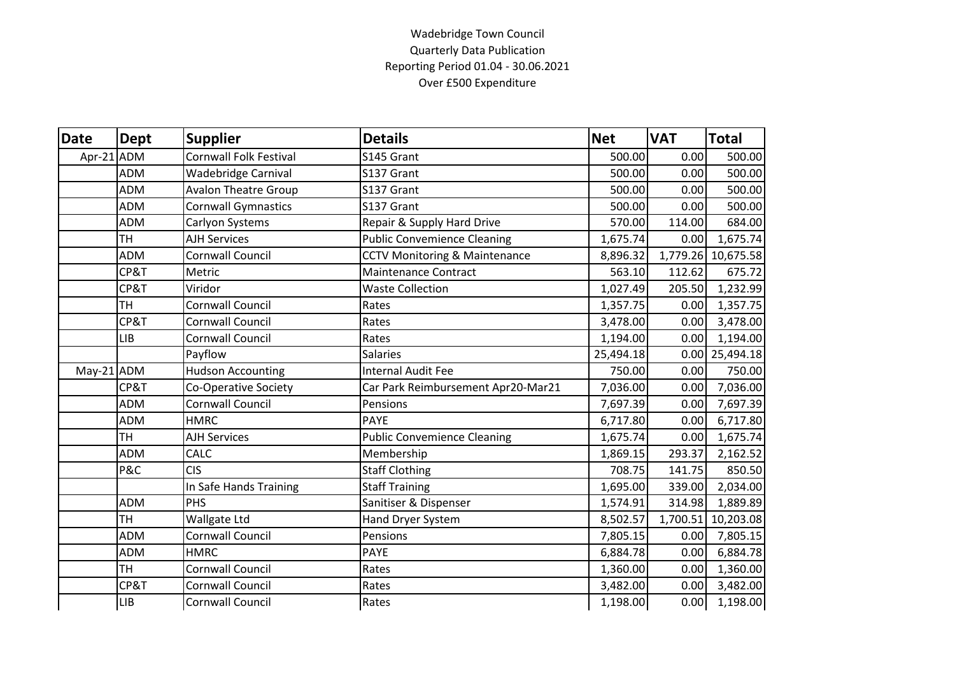## Wadebridge Town Council Quarterly Data Publication Reporting Period 01.04 - 30.06.2021 Over £500 Expenditure

| Date         | <b>Dept</b> | <b>Supplier</b>               | <b>Details</b>                           | <b>Net</b> | <b>VAT</b> | <b>Total</b>       |
|--------------|-------------|-------------------------------|------------------------------------------|------------|------------|--------------------|
| Apr-21       | <b>ADM</b>  | <b>Cornwall Folk Festival</b> | S145 Grant                               | 500.00     | 0.00       | 500.00             |
|              | <b>ADM</b>  | <b>Wadebridge Carnival</b>    | S137 Grant                               | 500.00     | 0.00       | 500.00             |
|              | <b>ADM</b>  | <b>Avalon Theatre Group</b>   | S137 Grant                               | 500.00     | 0.00       | 500.00             |
|              | <b>ADM</b>  | <b>Cornwall Gymnastics</b>    | S137 Grant                               | 500.00     | 0.00       | 500.00             |
|              | <b>ADM</b>  | Carlyon Systems               | Repair & Supply Hard Drive               | 570.00     | 114.00     | 684.00             |
|              | <b>TH</b>   | <b>AJH Services</b>           | <b>Public Convemience Cleaning</b>       | 1,675.74   | 0.00       | 1,675.74           |
|              | <b>ADM</b>  | Cornwall Council              | <b>CCTV Monitoring &amp; Maintenance</b> | 8,896.32   |            | 1,779.26 10,675.58 |
|              | CP&T        | Metric                        | <b>Maintenance Contract</b>              | 563.10     | 112.62     | 675.72             |
|              | CP&T        | Viridor                       | <b>Waste Collection</b>                  | 1,027.49   | 205.50     | 1,232.99           |
|              | TН          | <b>Cornwall Council</b>       | Rates                                    | 1,357.75   | 0.00       | 1,357.75           |
|              | CP&T        | <b>Cornwall Council</b>       | Rates                                    | 3,478.00   | 0.00       | 3,478.00           |
|              | <b>LIB</b>  | <b>Cornwall Council</b>       | Rates                                    | 1,194.00   | 0.00       | 1,194.00           |
|              |             | Payflow                       | <b>Salaries</b>                          | 25,494.18  |            | $0.00$ 25,494.18   |
| $May-21$ ADM |             | <b>Hudson Accounting</b>      | <b>Internal Audit Fee</b>                | 750.00     | 0.00       | 750.00             |
|              | CP&T        | Co-Operative Society          | Car Park Reimbursement Apr20-Mar21       | 7,036.00   | 0.00       | 7,036.00           |
|              | <b>ADM</b>  | <b>Cornwall Council</b>       | Pensions                                 | 7,697.39   | 0.00       | 7,697.39           |
|              | <b>ADM</b>  | <b>HMRC</b>                   | <b>PAYE</b>                              | 6,717.80   | 0.00       | 6,717.80           |
|              | TН          | <b>AJH Services</b>           | <b>Public Convemience Cleaning</b>       | 1,675.74   | 0.00       | 1,675.74           |
|              | <b>ADM</b>  | CALC                          | Membership                               | 1,869.15   | 293.37     | 2,162.52           |
|              | P&C         | <b>CIS</b>                    | <b>Staff Clothing</b>                    | 708.75     | 141.75     | 850.50             |
|              |             | In Safe Hands Training        | <b>Staff Training</b>                    | 1,695.00   | 339.00     | 2,034.00           |
|              | ADM         | PHS                           | Sanitiser & Dispenser                    | 1,574.91   | 314.98     | 1,889.89           |
|              | TН          | Wallgate Ltd                  | <b>Hand Dryer System</b>                 | 8,502.57   |            | 1,700.51 10,203.08 |
|              | <b>ADM</b>  | <b>Cornwall Council</b>       | Pensions                                 | 7,805.15   | 0.00       | 7,805.15           |
|              | <b>ADM</b>  | <b>HMRC</b>                   | <b>PAYE</b>                              | 6,884.78   | 0.00       | 6,884.78           |
|              | <b>TH</b>   | Cornwall Council              | Rates                                    | 1,360.00   | 0.00       | 1,360.00           |
|              | CP&T        | <b>Cornwall Council</b>       | Rates                                    | 3,482.00   | 0.00       | 3,482.00           |
|              | <b>LIB</b>  | Cornwall Council              | Rates                                    | 1,198.00   | 0.00       | 1,198.00           |